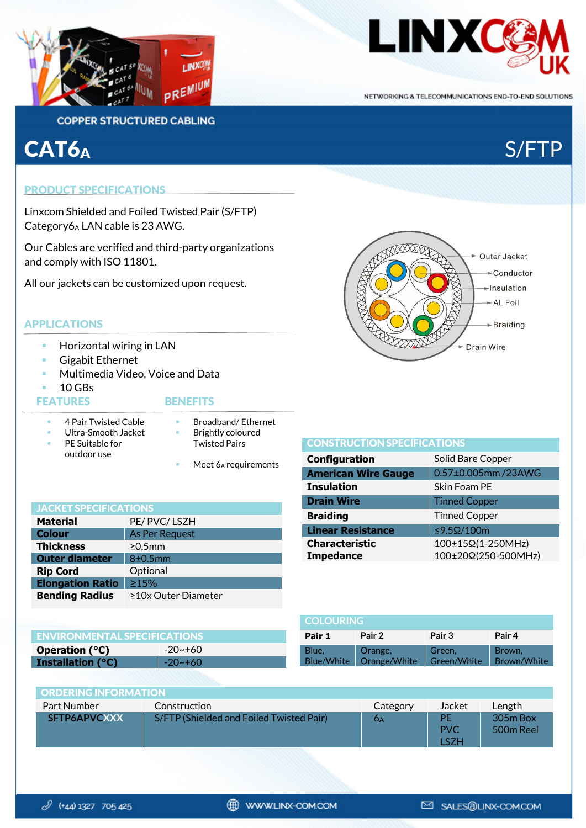



NETWORKING & TELECOMMUNICATIONS END-TO-END SOLUTIONS

## **COPPER STRUCTURED CABLING**

## CAT6<sub>A</sub> S/FTP

## PRODUCT SPECIFICATIONS

Linxcom Shielded and Foiled Twisted Pair (S/FTP) Category6A LAN cable is 23 AWG.

Our Cables are verified and third-party organizations and comply with ISO 11801.

All our jackets can be customized upon request.

## APPLICATIONS

- **Horizontal wiring in LAN**
- **Gigabit Ethernet**
- Multimedia Video, Voice and Data
- $10$  GBs

## FEATURES BENEFITS

## 4 Pair Twisted Cable **Broadband/ Ethernet**

- Ultra-Smooth Jacket PE Suitable for outdoor use Brightly coloured Twisted Pairs
	- Meet 6A requirements

| <b>JACKET SPECIFICATIONS</b> |                       |  |
|------------------------------|-----------------------|--|
| <b>Material</b>              | PE/PVC/LSZH           |  |
| <b>Colour</b>                | <b>As Per Request</b> |  |
| <b>Thickness</b>             | $\geq 0.5$ mm         |  |
| <b>Outer diameter</b>        | 8±0.5mm               |  |
| <b>Rip Cord</b>              | Optional              |  |
| <b>Elongation Ratio</b>      | $\geq 15\%$           |  |
| <b>Bending Radius</b>        | ≥10x Outer Diameter   |  |

| <b>TONS</b>    | Drain \           |
|----------------|-------------------|
| PE/PVC/LSZH    | <b>Braidin</b>    |
| As Per Request | <b>Linear</b>     |
| $\geq 0.5$ mm  | <b>Charac</b>     |
|                | <b>T</b> -22 = 24 |

| <b>COLOURING</b>           |                         |                       |                       |
|----------------------------|-------------------------|-----------------------|-----------------------|
| Pair 1                     | Pair 2                  | Pair 3                | Pair 4                |
| Blue,<br><b>Blue/White</b> | Orange,<br>Orange/White | Green,<br>Green/White | Brown,<br>Brown/White |

| <b>ENVIRONMENTAL SPECIFICATIONS</b> |                   |  |
|-------------------------------------|-------------------|--|
| Operation $(^{\circ}C)$             | $-20$ ~+60        |  |
| <b>Installation (°C)</b>            | $\sqrt{20}$ ~ +60 |  |

| <b>ORDERING INFORMATION</b> |                                          |          |                          |                         |
|-----------------------------|------------------------------------------|----------|--------------------------|-------------------------|
| Part Number                 | Construction                             | Category | Jacket                   | Length                  |
| SFTP6APVCXXX                | S/FTP (Shielded and Foiled Twisted Pair) | ÓΑ       | PE<br><b>PVC</b><br>∣S7H | $305m$ Box<br>500m Reel |



#### CONSTRUCTION SPECIFICATIONS

| <b>Configuration</b>                      | Solid Bare Copper                        |
|-------------------------------------------|------------------------------------------|
| <b>American Wire Gauge</b>                | 0.57±0.005mm/23AWG                       |
| <b>Insulation</b>                         | Skin Foam PE                             |
| <b>Drain Wire</b>                         | <b>Tinned Copper</b>                     |
| <b>Braiding</b>                           | <b>Tinned Copper</b>                     |
| <b>Linear Resistance</b>                  | ≤9.5 $Ω/100$ m                           |
| <b>Characteristic</b><br><b>Impedance</b> | 100±15Ω(1-250MHz)<br>100±20Ω(250-500MHz) |
|                                           |                                          |